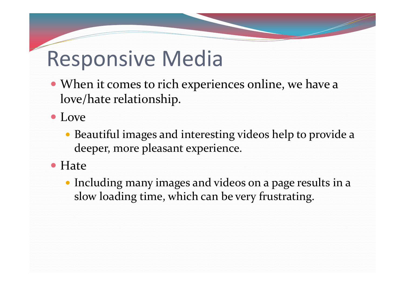- When it comes to rich experiences online, we have <sup>a</sup> love/hate relationship.
- Love
	- Beautiful images and interesting videos help to provide <sup>a</sup> deeper, more pleasant experience.
- Hate
	- Including many images and videos on <sup>a</sup> page results in <sup>a</sup> slow loading time, which can be very frustrating.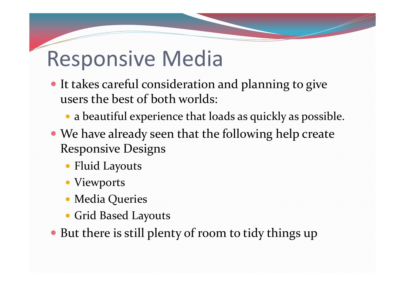- It takes careful consideration and planning to give users the best of both worlds:
	- <sup>a</sup> beautiful experience that loads as quickly as possible.
- We have already seen that the following help create Responsive Designs
	- Fluid Layouts
	- Viewports
	- Media Queries
	- Grid Based Layouts
- But there is still plenty of room to tidy things up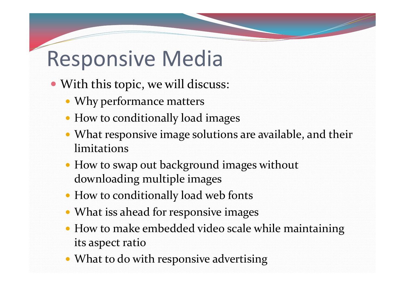- With this topic, we will discuss:
	- Why performance matters
	- How to conditionally load images
	- What responsive image solutions are available, and their limitations
	- How to swap out background images without downloading multiple images
	- How to conditionally load web fonts
	- What iss ahead for responsive images
	- How to make embedded video scale while maintaining its aspec<sup>t</sup> ratio
	- What to do with responsive advertising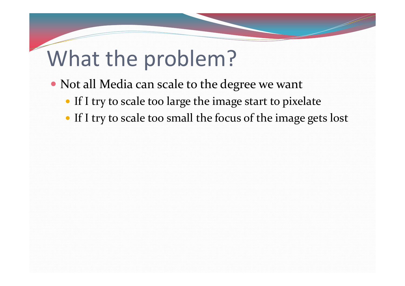# What the problem?

- Not all Media can scale to the degree we want
	- If <sup>I</sup> try to scale too large the image start to pixelate
	- If I try to scale too small the focus of the image gets lost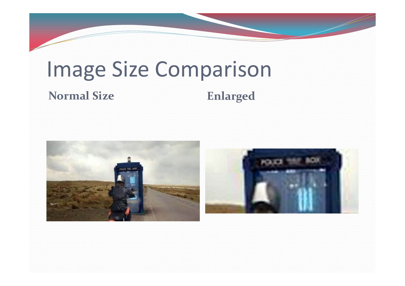# Image Size Comparison

#### **Normal Size**

#### **Enlarged**



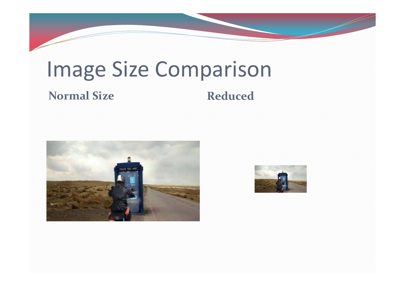# Image Size Comparison

#### **Normal Size**

#### **Reduced**



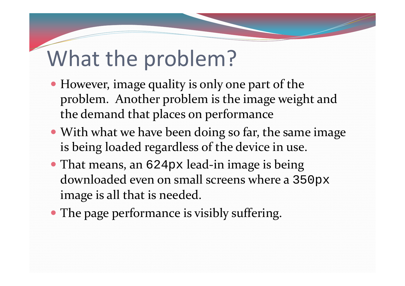# What the problem?

- However, image quality is only one par<sup>t</sup> of the problem. Another problem is the image weight and the demand that places on performance
- With what we have been doing so far, the same image is being loaded regardless of the device in use.
- That means, an 624px lead-in image is being downloaded even on small screens where <sup>a</sup> 350px image is all that is needed.
- The page performance is visibly suffering.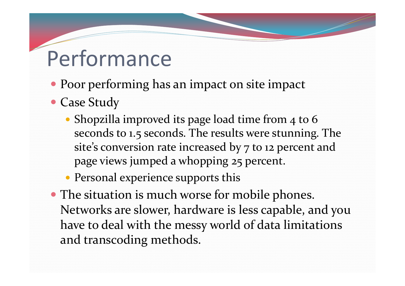## Performance

- Poor performing has an impact on site impact
- Case Study
	- Shopzilla improved its page load time from 4 to 6 seconds to 1.5 seconds. The results were stunning. The site's conversion rate increased by <sup>7</sup> to <sup>12</sup> percen<sup>t</sup> and page views jumped a whopping 25 percent.
	- Personal experience supports this
- The situation is much worse for mobile phones. Networks are slower, hardware is less capable, and you have to deal with the messy world of data limitations and transcoding methods.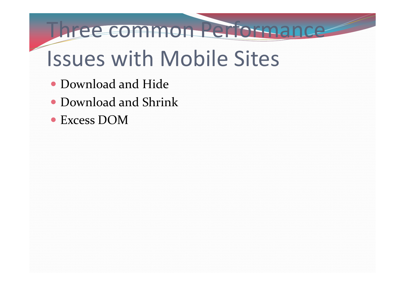#### Three common Performance

# Issues with Mobile Sites

- Download and Hide
- Download and Shrink
- Excess DOM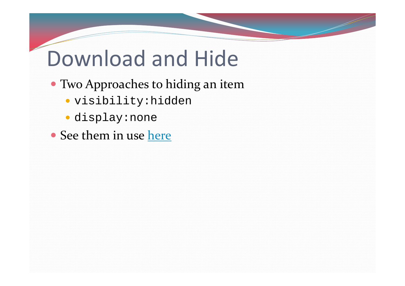### Download and Hide

- Two Approaches to hiding an item
	- visibility:hidden
	- display:none
- See them in use here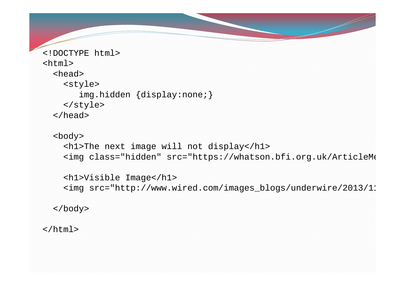```
<!DOCTYPE html><html><head><style>
       img.hidden {display:none;}
    </style>
  </head>
```

```
<body>
```

```
<h1>The next image will not display</h1>
<img class="hidden" src="https://whatson.bfi.org.uk/ArticleMe
```

```
<h1>Visible Image</h1>
<img src="http://www.wired.com/images_blogs/underwire/2013/11
```
</body>

</html>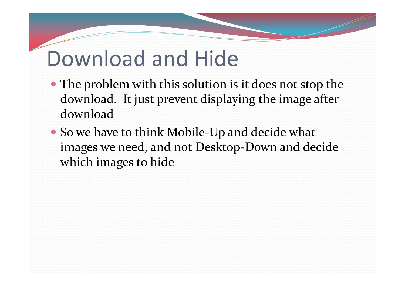#### Download and Hide

- The problem with this solution is it does not stop the download. It just preven<sup>t</sup> displaying the image after download
- So we have to think Mobile-Up and decide what images we need, and not Desktop‐Down and decide which images to hide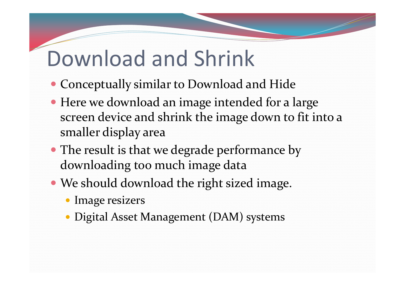### Download and Shrink

- Conceptually similar to Download and Hide
- Here we download an image intended for <sup>a</sup> large screen device and shrink the image down to fit into <sup>a</sup> smaller display area
- The result is that we degrade performance by downloading too much image data
- We should download the right sized image.
	- Image resizers
	- Digital Asset Management (DAM) systems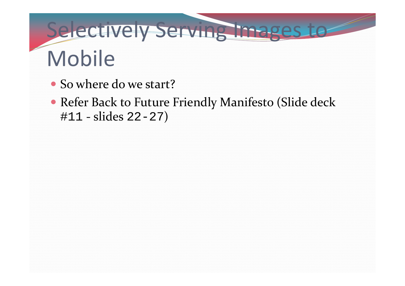# Selectively Serving Images to Mobile

- So where do we start?
- Refer Back to Future Friendly Manifesto (Slide deck #11 ‐ slides 22-27)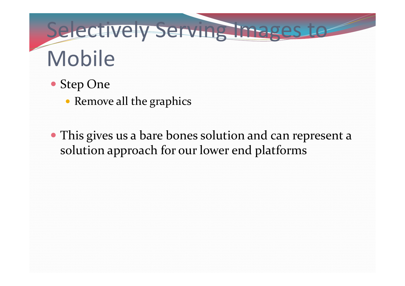# Selectively Serving Images to Mobile

- Step One
	- Remove all the graphics
- This gives us <sup>a</sup> bare bones solution and can represen<sup>t</sup> <sup>a</sup> solution approach for our lower end platforms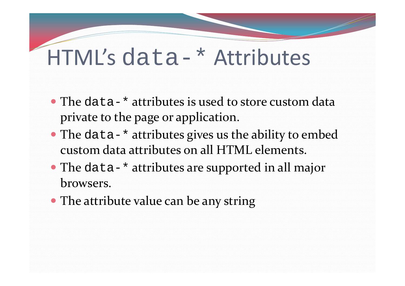- The data-\* attributes is used to store custom data private to the page or application.
- The data-\* attributes gives us the ability to embed custom data attributes on all HTML elements.
- The data-\* attributes are supported in all major browsers.
- The attribute value can be any string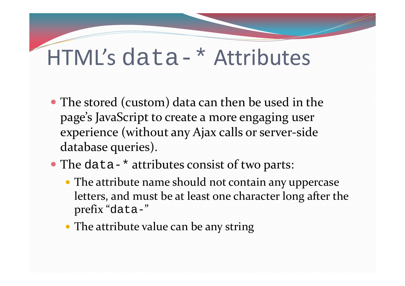- The stored (custom) data can then be used in the page's JavaScript to create <sup>a</sup> more engaging user experience (without any Ajax calls or server‐side database queries).
- The data-\* attributes consist of two parts:
	- The attribute name should not contain any uppercase letters, and must be at least one character long after the prefix "data-"
	- The attribute value can be any string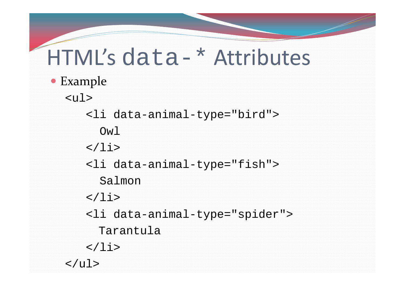#### Example

<ul>

<li data-animal-type="bird"> Owl  $\langle$ li> <li data-animal-type="fish"> Salmon  $\langle$ li> <li data-animal-type="spider"> Tarantula  $\langle$ /li>  $\langle$ /ul>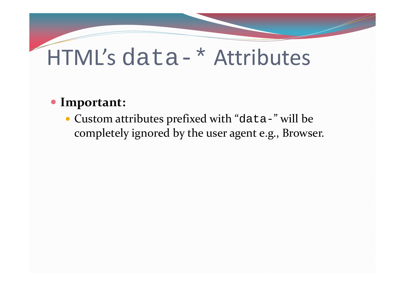#### **Important:**

 Custom attributes prefixed with "data-" will be completely ignored by the user agen<sup>t</sup> e.g., Browser.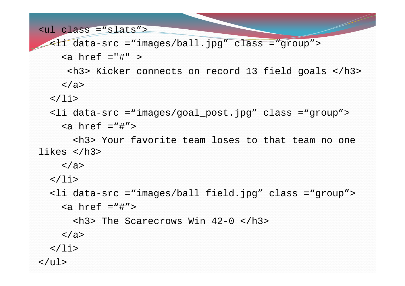```
<ul class ="slats">
  <li data-src ="images/ball.jpg" class ="group">
     \langle a \rangle href ="#" >
      <h3> Kicker connects on record 13 field goals </h3>
    </a>
  \langle/li>
  <li data-src ="images/goal_post.jpg" class ="group"> 
     \alpha href ="#">
       <h3> Your favorite team loses to that team no one likes </h3> 
    </a> 
  \langle/li>
  <li data-src ="images/ball_field.jpg" class ="group">
     \alpha href ="#">
       \langle h3\rangle The Scarecrows Win 42-0 \langle h3\rangle</a>
  \langle/li>
\langle \text{ul}\rangle
```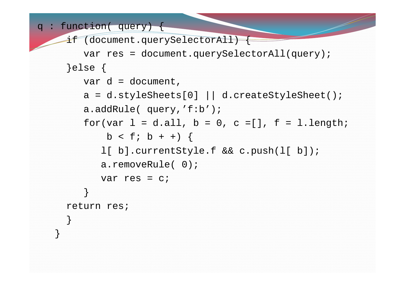```
q: function( query) { 
     if (document.querySelectorAll) {
        var res = document.querySelectorAll(query); 
     }else {
        var d = document, 
        a = d.setylesheets[0] || d.createStyleSheet();
        a.addRule( query,'f:b'); 
        for(var l = d.all, b = 0, c = [ ], f = l.length;
            b < f; b + f) {
           l[ b].currentStyle.f && c.push(l[ b]);
           a.removeRule( 0); 
           var res = c; } 
     return res; } 
   }
```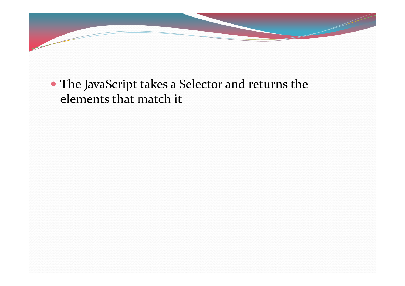

#### The JavaScript takes a Selector and returns the elements that match it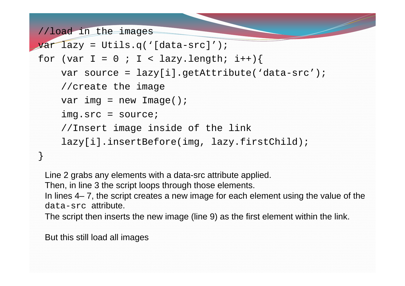```
//load in the images
```

```
var lazy = Utils.q('[data-src]');
for (var I = 0 ; I < I azy.length; i++) {
    var source = lazy[i].getAttribute('data-src');
    //create the image
    var img = new Image();
    img.src = source;
    //Insert image inside of the link
    lazy[i].insertBefore(img, lazy.firstChild);
}
```
Line 2 grabs any elements with a data-src attribute applied.

Then, in line 3 the script loops through those elements.

In lines 4– 7, the script creates a new image for each element using the value of the data-src attribute.

The script then inserts the new image (line 9) as the first element within the link.

But this still load all images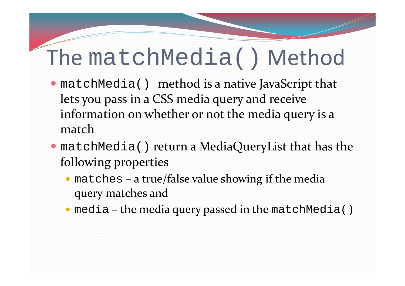### The matchMedia() Method

- matchMedia() method is <sup>a</sup> native JavaScript that lets you pass in <sup>a</sup> CSS media query and receive information on whether or not the media query is <sup>a</sup> match
- matchMedia() return <sup>a</sup> MediaQueryList that has the following properties
	- matches <sup>a</sup> true/false value showing if the media query matches and
	- media the media query passed in the matchMedia()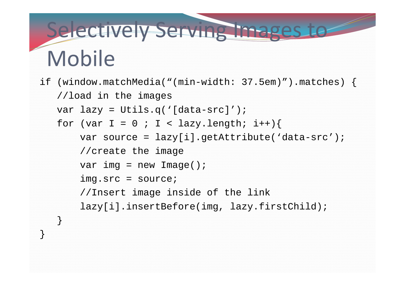# Selectively Serving Images to Mobile

```
if (window.matchMedia("(min-width: 37.5em)").matches) {
   //load in the images
   var lazy = Utils.q('[data-src]');
   for (var I = 0 ; I < lazy.length; i++) {
       var source = lazy[i].getAttribute('data-src');
       //create the image
       var img = new Image();
       img.src = source;
       //Insert image inside of the link
       lazy[i].insertBefore(img, lazy.firstChild);
```
}

}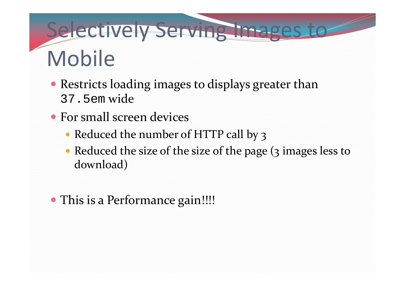# Selectively Serving Images to Mobile

- Restricts loading images to displays greater than 37.5em wide
- For small screen devices
	- Reduced the number of HTTP call by 3
	- Reduced the size of the size of the page (3 images less to download)
- This is a Performance gain!!!!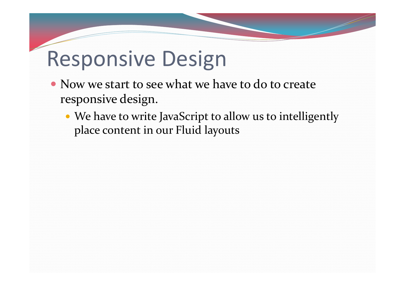### Responsive Design

- Now we start to see what we have to do to create responsive design.
	- We have to write JavaScript to allow us to intelligently place content in our Fluid layouts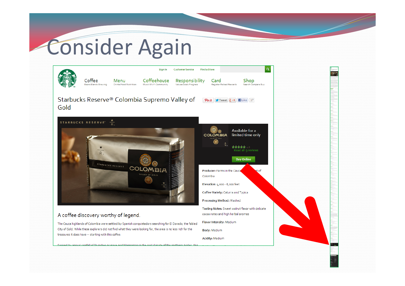# Consider Again

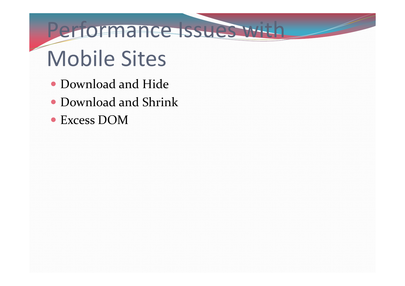#### Performance Issues with

# Mobile Sites

- Download and Hide
- Download and Shrink
- Excess DOM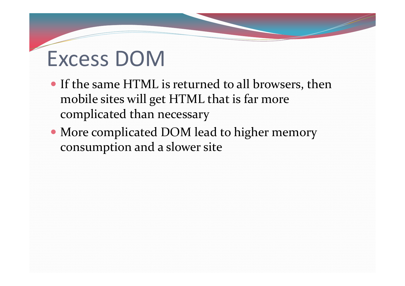# Excess DOM

- If the same HTML is returned to all browsers, then mobile sites will ge<sup>t</sup> HTML that is far more complicated than necessary
- More complicated DOM lead to higher memory consumption and <sup>a</sup> slower site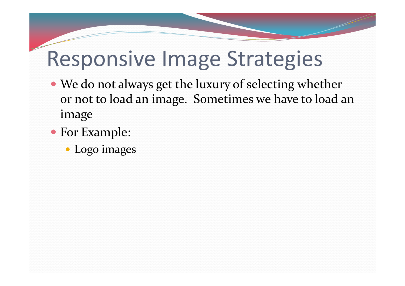#### Responsive Image Strategies

- We do not always ge<sup>t</sup> the luxury of selecting whether or not to load an image. Sometimes we have to load an image
- For Example:
	- Logo images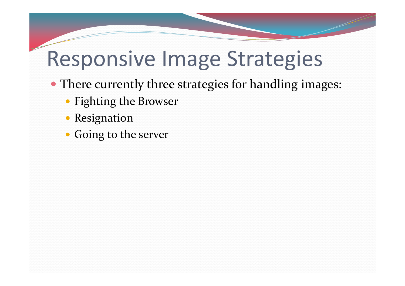#### Responsive Image Strategies

- There currently three strategies for handling images:
	- Fighting the Browser
	- Resignation
	- Going to the server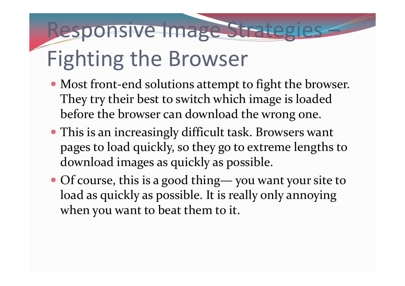# Fighting the Browser

 Most front‐end solutions attempt to fight the browser. They try their best to switch which image is loaded before the browser can download the wrong one.

Responsive Image Strategies –

- This is an increasingly difficult task. Browsers want pages to load quickly, so they go to extreme lengths to download images as quickly as possible.
- Of course, this is <sup>a</sup> good thing— you want your site to load as quickly as possible. It is really only annoying when you want to beat them to it.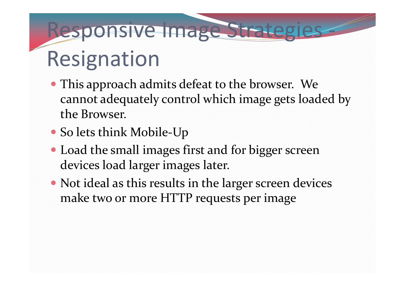# Responsive Image Strategies ‐ Resignation

- This approach admits defeat to the browser. We cannot adequately control which image gets loaded by the Browser.
- So lets think Mobile‐Up
- Load the small images first and for bigger screen devices load larger images later.
- Not ideal as this results in the larger screen devices make two or more HTTP requests per image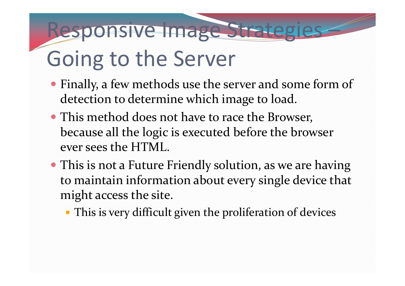# Going to the Server

 Finally, <sup>a</sup> few methods use the server and some form of detection to determine which image to load.

Responsive Image Strategies –

- This method does not have to race the Browser, because all the logic is executed before the browser ever sees the HTML.
- This is not <sup>a</sup> Future Friendly solution, as we are having to maintain information about every single device that might access the site.
	- This is very difficult given the proliferation of devices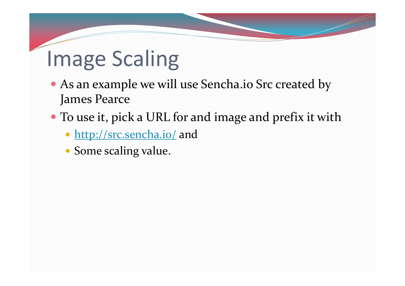# Image Scaling

- As an example we will use Sencha.io Src created by James Pearce
- To use it, pick <sup>a</sup> URL for and image and prefix it with
	- http://src.sencha.io/ and
	- Some scaling value.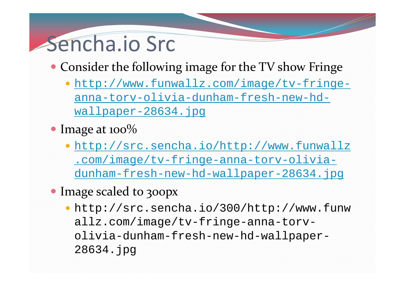#### Sencha.io Src

- Consider the following image for the TV show Fringe
	- http://www.funwallz.com/image/tv-fringeanna-torv-olivia-dunham-fresh-new-hdwallpaper-28634.jpg
- Image at 100%
	- http://src.sencha.io/http://www.funwallz .com/image/tv-fringe-anna-torv-oliviadunham-fresh-new-hd-wallpaper-28634.jpg
- Image scaled to 300px
	- http://src.sencha.io/300/http://www.funw allz.com/image/tv-fringe-anna-torvolivia-dunham-fresh-new-hd-wallpaper-28634.jpg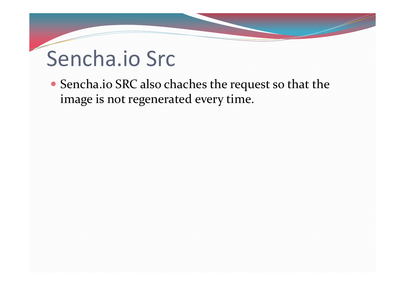## Sencha.io Src

 Sencha.io SRC also chaches the reques<sup>t</sup> so that the image is not regenerated every time.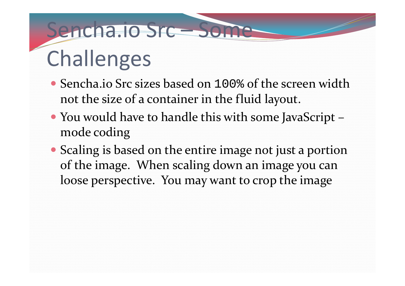# Sencha.io Src – Son Challenges

- Sencha.io Src sizes based on 100% of the screen width not the size of a container in the fluid layout.
- You would have to handle this with some JavaScript – mode coding
- Scaling is based on the entire image not just a portion of the image. When scaling down an image you can loose perspective. You may want to crop the image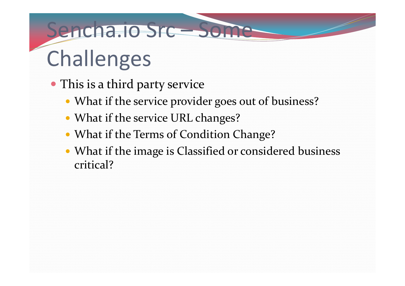# Sencha.io Src – Son Challenges

- This is a third party service
	- What if the service provider goes out of business?
	- What if the service URL changes?
	- What if the Terms of Condition Change?
	- What if the image is Classified or considered business critical?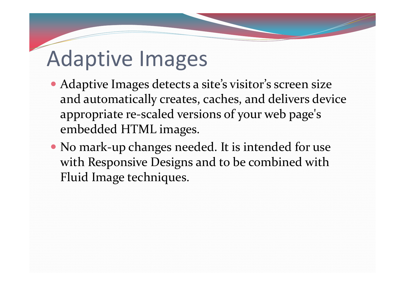- Adaptive Images detects <sup>a</sup> site's visitor's screen size and automatically creates, caches, and delivers device appropriate re‐scaled versions of your web page's embedded HTML images.
- No mark-up changes needed. It is intended for use with Responsive Designs and to be combined with Fluid Image techniques.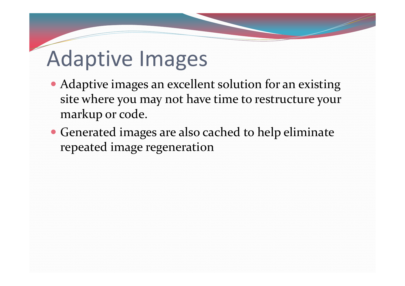- Adaptive images an excellent solution for an existing site where you may not have time to restructure your markup or code.
- Generated images are also cached to help eliminate repeated image regeneration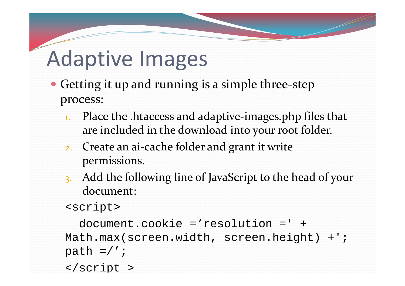- Getting it up and running is a simple three-step process:
	- 1. Place the .htaccess and adaptive-images.php files that are included in the download into your root folder.
	- 2. Create an ai-cache folder and grant it write permissions.
	- 3. Add the following line of JavaScript to the head of your document:

```
<script>
```

```
document.cookie ='resolution =' + Math.max(screen.width, screen.height) +'; 
path =/';
```
</script >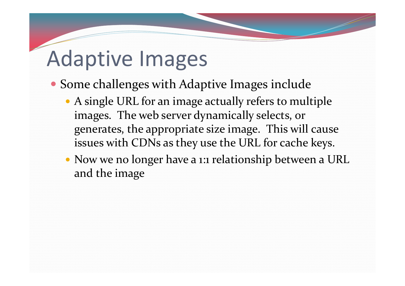- Some challenges with Adaptive Images include
	- A single URL for an image actually refers to multiple images. The web server dynamically selects, or generates, the appropriate size image. This will cause issues with CDNs as they use the URL for cache keys.
	- Now we no longer have <sup>a</sup> 1:1 relationship between <sup>a</sup> URL and the image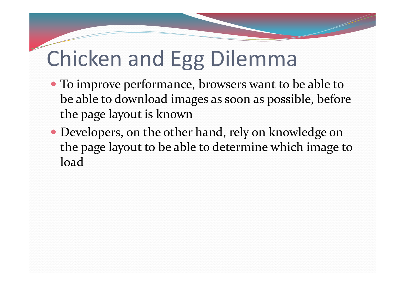# Chicken and Egg Dilemma

- To improve performance, browsers want to be able to be able to download images as soon as possible, before the page layout is known
- Developers, on the other hand, rely on knowledge on the page layout to be able to determine which image to load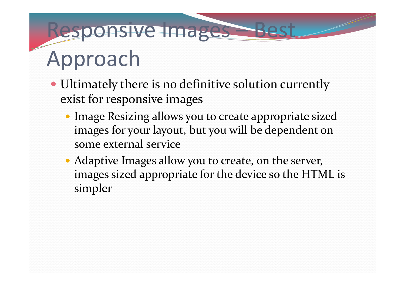# Responsive Images – Approach

- Ultimately there is no definitive solution currently exist for responsive images
	- Image Resizing allows you to create appropriate sized images for your layout, but you will be dependent on some external service
	- Adaptive Images allow you to create, on the server, images sized appropriate for the device so the HTML is simpler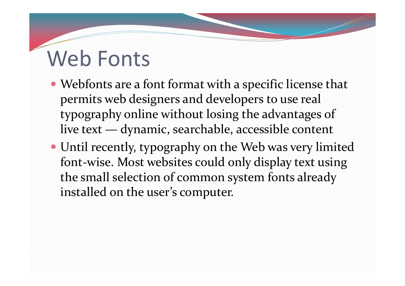# Web Fonts

- Webfonts are <sup>a</sup> font format with <sup>a</sup> specific license that permits web designers and developers to use real typography online without losing the advantages of live text — dynamic, searchable, accessible content
- Until recently, typography on the Web was very limited font‐wise. Most websites could only display text using the small selection of common system fonts already installed on the user's computer.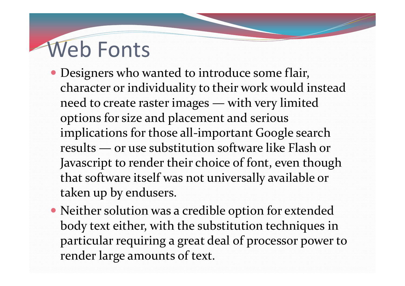# Web Fonts

- Designers who wanted to introduce some flair, character or individuality to their work would instead need to create raster images — with very limited options for size and placement and serious implications for those all-important Google search results — or use substitution software like Flash or Javascript to render their choice of font, even though that software itself was not universally available or taken up by endusers.
- Neither solution was <sup>a</sup> credible option for extended body text either, with the substitution techniques in particular requiring <sup>a</sup> grea<sup>t</sup> deal of processor power to render large amounts of text.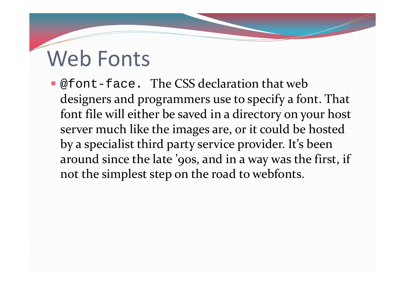# Web Fonts

• @font-face. The CSS declaration that web designers and programmers use to specify <sup>a</sup> font. That font file will either be saved in <sup>a</sup> directory on your host server much like the images are, or it could be hosted by <sup>a</sup> specialist third party service provider. It's been around since the late '90s, and in <sup>a</sup> way was the first, if not the simplest step on the road to webfonts.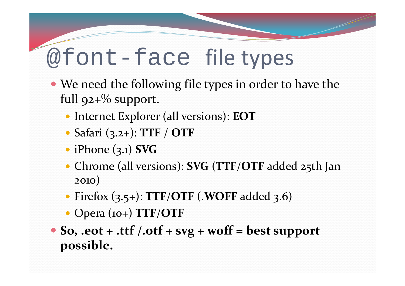### @font-face file types

- We need the following file types in order to have the full  $92+%$  support.
	- Internet Explorer (all versions): **EOT**
	- Safari (3.2+): **TTF** / **OTF**
	- iPhone (3.1) **SVG**
	- Chrome (all versions): **SVG** (**TTF** /**OTF** added 25th Jan 2010)
	- Firefox (3.5+): **TTF** /**OTF** (.**WOFF** added 3.6)
	- Opera (10+) **TTF** /**OTF**
- $\bullet$  So,  $\cdot$  eot  $\circ$   $\cdot$   $\cdot$  ttf  $\cdot$   $\cdot$  otf  $\cdot$   $\cdot$  svg  $\cdot$  woff  $\cdot$  best support **possible.**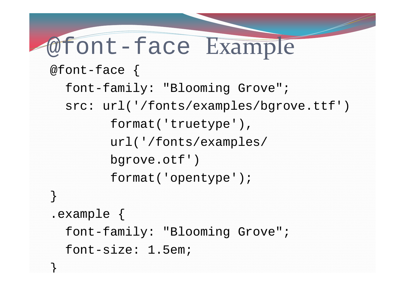```
@font-face Example
@font-face {
  font-family: "Blooming Grove";
  src: url('/fonts/examples/bgrove.ttf')
```

```
format('truetype'), 
url('/fonts/examples/
```

```
bgrove.otf')
```
}

}

```
format('opentype');
```

```
.example {
 font-family: "Blooming Grove";
  font-size: 1.5em;
```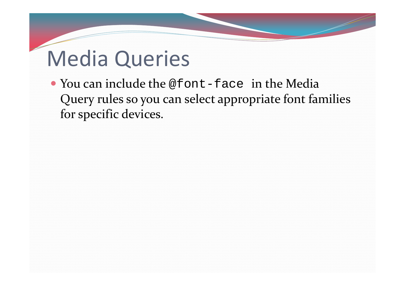# Media Queries

• You can include the @font-face in the Media Query rules so you can select appropriate font families for specific devices.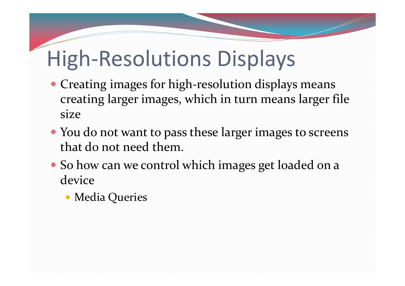# High‐Resolutions Displays

- Creating images for high-resolution displays means creating larger images, which in turn means larger file size
- You do not want to pass these larger images to screens that do not need them.
- So how can we control which images ge<sup>t</sup> loaded on <sup>a</sup> device
	- Media Queries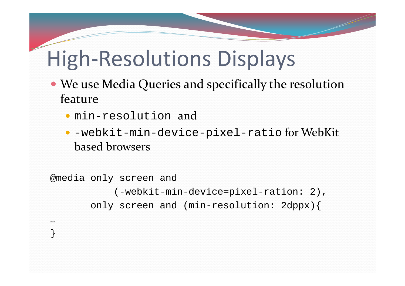# High‐Resolutions Displays

- We use Media Queries and specifically the resolution feature
	- min-resolution and

…

}

 -webkit-min-device-pixel-ratio for WebKit based browsers

```
@media only screen and 
           (-webkit-min-device=pixel-ration: 2),
       only screen and (min-resolution: 2dppx){
```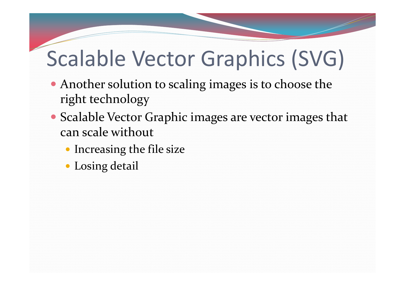# Scalable Vector Graphics (SVG)

- Another solution to scaling images is to choose the right technology
- Scalable Vector Graphic images are vector images that can scale without
	- **Increasing the file size**
	- Losing detail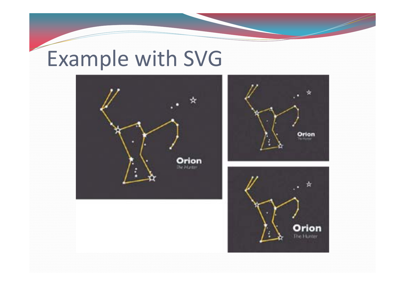# Example with SVG





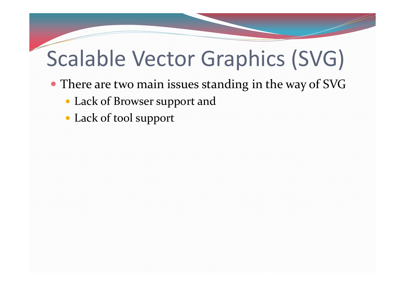# Scalable Vector Graphics (SVG)

- There are two main issues standing in the way of SVG
	- Lack of Browser suppor<sup>t</sup> and
	- Lack of tool suppor<sup>t</sup>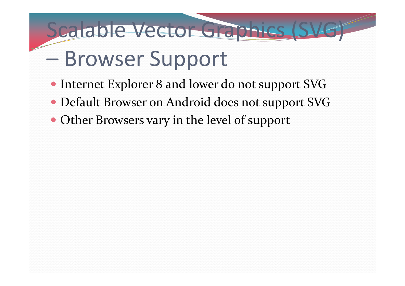# Browser Support

• Internet Explorer 8 and lower do not support SVG

Scalable Vector Graphics (SVG)

- Default Browser on Android does not suppor<sup>t</sup> SVG
- Other Browsers vary in the level of support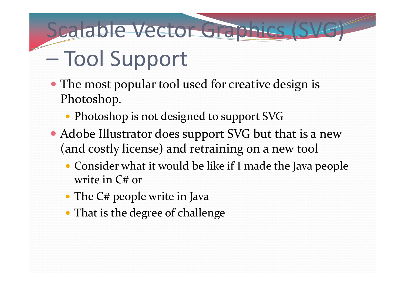# Scalable Vector Graphics (SVG)

# Tool Support

- The most popular tool used for creative design is Photoshop.
	- Photoshop is not designed to support SVG
- Adobe Illustrator does support SVG but that is a new (and costly license) and retraining on <sup>a</sup> new tool
	- Consider what it would be like if I made the Java people write in C# or
	- The C# people write in Java
	- That is the degree of challenge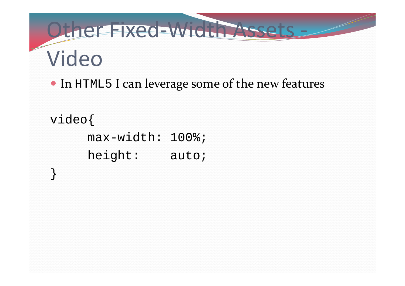# Other Fixed-Width Assets -Video

• In HTML5 I can leverage some of the new features

```
video{
     max-width: 100%;
     height: auto;
```
}